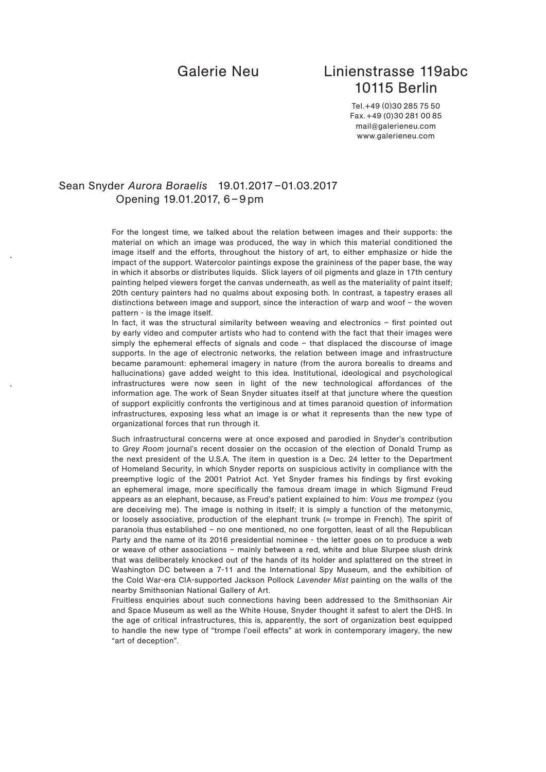# Galerie Neu Linienstrasse 119abc 10115 Berlin

Tel.+49 (0)30 285 75 50 Fax.+49 (0)30 281 00 85 mail@galerieneu.com www.galerieneu.com

## Sean Snyder *Aurora Boraelis* 19.01.2017 –01.03.2017 Opening 19.01.2017, 6 – 9 pm

For the longest time, we talked about the relation between images and their supports: the material on which an image was produced, the way in which this material conditioned the image itself and the efforts, throughout the history of art, to either emphasize or hide the impact of the support. Watercolor paintings expose the graininess of the paper base, the way in which it absorbs or distributes liquids. Slick layers of oil pigments and glaze in 17th century painting helped viewers forget the canvas underneath, as well as the materiality of paint itself; 20th century painters had no qualms about exposing both. In contrast, a tapestry erases all distinctions between image and support, since the interaction of warp and woof – the woven pattern - is the image itself.

In fact, it was the structural similarity between weaving and electronics – first pointed out by early video and computer artists who had to contend with the fact that their images were simply the ephemeral effects of signals and code – that displaced the discourse of image supports. In the age of electronic networks, the relation between image and infrastructure became paramount: ephemeral imagery in nature (from the aurora borealis to dreams and hallucinations) gave added weight to this idea. Institutional, ideological and psychological infrastructures were now seen in light of the new technological affordances of the information age. The work of Sean Snyder situates itself at that juncture where the question of support explicitly confronts the vertiginous and at times paranoid question of information infrastructures, exposing less what an image is or what it represents than the new type of organizational forces that run through it.

Such infrastructural concerns were at once exposed and parodied in Snyder's contribution to *Grey Room* journal's recent dossier on the occasion of the election of Donald Trump as the next president of the U.S.A. The item in question is a Dec. 24 letter to the Department of Homeland Security, in which Snyder reports on suspicious activity in compliance with the preemptive logic of the 2001 Patriot Act. Yet Snyder frames his findings by first evoking an ephemeral image, more specifically the famous dream image in which Sigmund Freud appears as an elephant, because, as Freud's patient explained to him: *Vous me trompez* (you are deceiving me). The image is nothing in itself; it is simply a function of the metonymic, or loosely associative, production of the elephant trunk (= trompe in French). The spirit of paranoia thus established – no one mentioned, no one forgotten, least of all the Republican Party and the name of its 2016 presidential nominee - the letter goes on to produce a web or weave of other associations – mainly between a red, white and blue Slurpee slush drink that was deliberately knocked out of the hands of its holder and splattered on the street in Washington DC between a 7-11 and the International Spy Museum, and the exhibition of the Cold War-era CIA-supported Jackson Pollock *Lavender Mist* painting on the walls of the nearby Smithsonian National Gallery of Art.

Fruitless enquiries about such connections having been addressed to the Smithsonian Air and Space Museum as well as the White House, Snyder thought it safest to alert the DHS. In the age of critical infrastructures, this is, apparently, the sort of organization best equipped to handle the new type of "trompe l'oeil effects" at work in contemporary imagery, the new "art of deception".